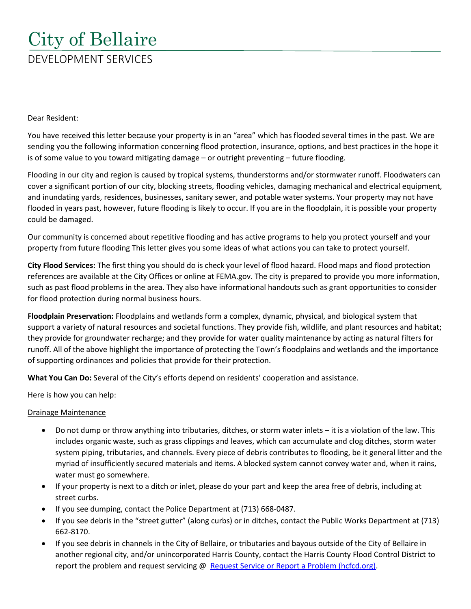# City of Bellaire DEVELOPMENT SERVICES

Dear Resident:

You have received this letter because your property is in an "area" which has flooded several times in the past. We are sending you the following information concerning flood protection, insurance, options, and best practices in the hope it is of some value to you toward mitigating damage – or outright preventing – future flooding.

Flooding in our city and region is caused by tropical systems, thunderstorms and/or stormwater runoff. Floodwaters can cover a significant portion of our city, blocking streets, flooding vehicles, damaging mechanical and electrical equipment, and inundating yards, residences, businesses, sanitary sewer, and potable water systems. Your property may not have flooded in years past, however, future flooding is likely to occur. If you are in the floodplain, it is possible your property could be damaged.

Our community is concerned about repetitive flooding and has active programs to help you protect yourself and your property from future flooding This letter gives you some ideas of what actions you can take to protect yourself.

**City Flood Services:** The first thing you should do is check your level of flood hazard. Flood maps and flood protection references are available at the City Offices or online at FEMA.gov. The city is prepared to provide you more information, such as past flood problems in the area. They also have informational handouts such as grant opportunities to consider for flood protection during normal business hours.

**Floodplain Preservation:** Floodplains and wetlands form a complex, dynamic, physical, and biological system that support a variety of natural resources and societal functions. They provide fish, wildlife, and plant resources and habitat; they provide for groundwater recharge; and they provide for water quality maintenance by acting as natural filters for runoff. All of the above highlight the importance of protecting the Town's floodplains and wetlands and the importance of supporting ordinances and policies that provide for their protection.

**What You Can Do:** Several of the City's efforts depend on residents' cooperation and assistance.

Here is how you can help:

#### Drainage Maintenance

- Do not dump or throw anything into tributaries, ditches, or storm water inlets it is a violation of the law. This includes organic waste, such as grass clippings and leaves, which can accumulate and clog ditches, storm water system piping, tributaries, and channels. Every piece of debris contributes to flooding, be it general litter and the myriad of insufficiently secured materials and items. A blocked system cannot convey water and, when it rains, water must go somewhere.
- If your property is next to a ditch or inlet, please do your part and keep the area free of debris, including at street curbs.
- If you see dumping, contact the Police Department at (713) 668-0487.
- If you see debris in the "street gutter" (along curbs) or in ditches, contact the Public Works Department at (713) 662-8170.
- If you see debris in channels in the City of Bellaire, or tributaries and bayous outside of the City of Bellaire in another regional city, and/or unincorporated Harris County, contact the Harris County Flood Control District to report the problem and request servicing @ [Request Service or Report a Problem \(hcfcd.org\).](https://www.hcfcd.org/Community/Contact-Us/Service-Request)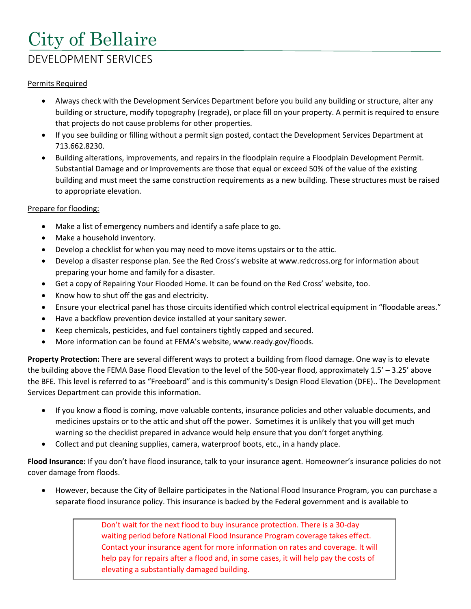## City of Bellaire DEVELOPMENT SERVICES

#### Permits Required

- Always check with the Development Services Department before you build any building or structure, alter any building or structure, modify topography (regrade), or place fill on your property. A permit is required to ensure that projects do not cause problems for other properties.
- If you see building or filling without a permit sign posted, contact the Development Services Department at 713.662.8230.
- Building alterations, improvements, and repairs in the floodplain require a Floodplain Development Permit. Substantial Damage and or Improvements are those that equal or exceed 50% of the value of the existing building and must meet the same construction requirements as a new building. These structures must be raised to appropriate elevation.

#### Prepare for flooding:

- Make a list of emergency numbers and identify a safe place to go.
- Make a household inventory.
- Develop a checklist for when you may need to move items upstairs or to the attic.
- Develop a disaster response plan. See the Red Cross's website at www.redcross.org for information about preparing your home and family for a disaster.
- Get a copy of Repairing Your Flooded Home. It can be found on the Red Cross' website, too.
- Know how to shut off the gas and electricity.
- Ensure your electrical panel has those circuits identified which control electrical equipment in "floodable areas."
- Have a backflow prevention device installed at your sanitary sewer.
- Keep chemicals, pesticides, and fuel containers tightly capped and secured.
- More information can be found at FEMA's website, www.ready.gov/floods.

**Property Protection:** There are several different ways to protect a building from flood damage. One way is to elevate the building above the FEMA Base Flood Elevation to the level of the 500-year flood, approximately 1.5' – 3.25' above the BFE. This level is referred to as "Freeboard" and is this community's Design Flood Elevation (DFE).. The Development Services Department can provide this information.

- If you know a flood is coming, move valuable contents, insurance policies and other valuable documents, and medicines upstairs or to the attic and shut off the power. Sometimes it is unlikely that you will get much warning so the checklist prepared in advance would help ensure that you don't forget anything.
- Collect and put cleaning supplies, camera, waterproof boots, etc., in a handy place.

**Flood Insurance:** If you don't have flood insurance, talk to your insurance agent. Homeowner's insurance policies do not cover damage from floods.

• However, because the City of Bellaire participates in the National Flood Insurance Program, you can purchase a separate flood insurance policy. This insurance is backed by the Federal government and is available to

> Don't wait for the next flood to buy insurance protection. There is a 30-day waiting period before National Flood Insurance Program coverage takes effect. Contact your insurance agent for more information on rates and coverage. It will help pay for repairs after a flood and, in some cases, it will help pay the costs of elevating a substantially damaged building.